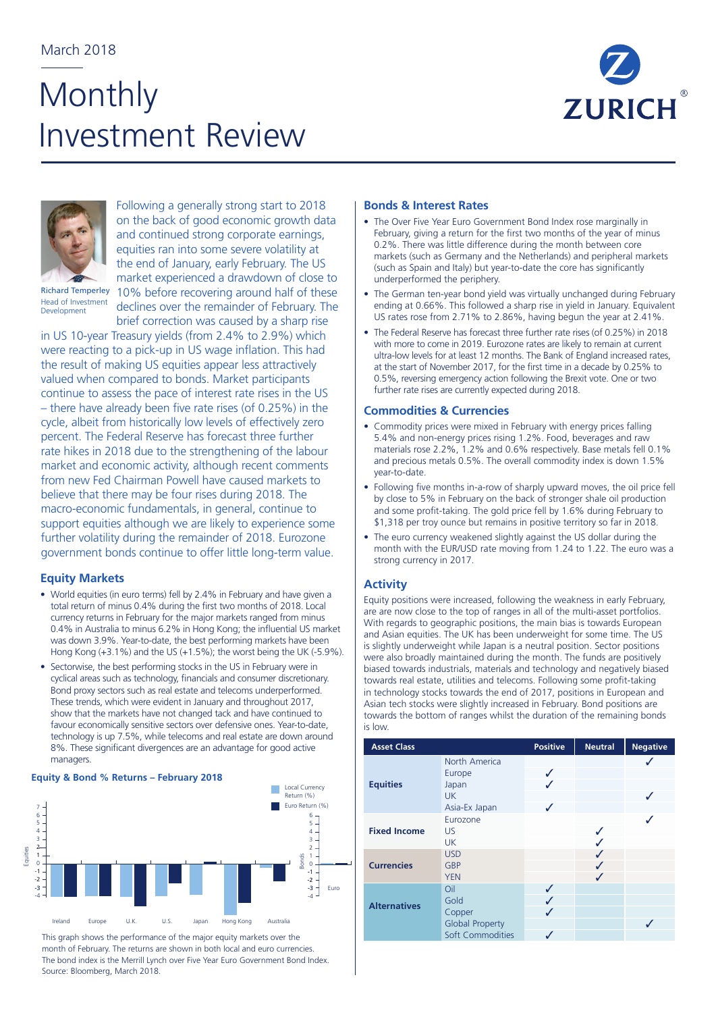# **Monthly** Investment Review





Following a generally strong start to 2018 on the back of good economic growth data and continued strong corporate earnings, equities ran into some severe volatility at the end of January, early February. The US

Richard Temperley Head of Investment Development

market experienced a drawdown of close to 10% before recovering around half of these declines over the remainder of February. The brief correction was caused by a sharp rise

in US 10-year Treasury yields (from 2.4% to 2.9%) which were reacting to a pick-up in US wage inflation. This had the result of making US equities appear less attractively valued when compared to bonds. Market participants continue to assess the pace of interest rate rises in the US – there have already been five rate rises (of 0.25%) in the cycle, albeit from historically low levels of effectively zero percent. The Federal Reserve has forecast three further rate hikes in 2018 due to the strengthening of the labour market and economic activity, although recent comments from new Fed Chairman Powell have caused markets to believe that there may be four rises during 2018. The macro-economic fundamentals, in general, continue to support equities although we are likely to experience some further volatility during the remainder of 2018. Eurozone government bonds continue to offer little long-term value.

### **Equity Markets**

- World equities (in euro terms) fell by 2.4% in February and have given a total return of minus 0.4% during the first two months of 2018. Local currency returns in February for the major markets ranged from minus 0.4% in Australia to minus 6.2% in Hong Kong; the influential US market was down 3.9%. Year-to-date, the best performing markets have been Hong Kong (+3.1%) and the US (+1.5%); the worst being the UK (-5.9%).
- Sectorwise, the best performing stocks in the US in February were in cyclical areas such as technology, financials and consumer discretionary. Bond proxy sectors such as real estate and telecoms underperformed. These trends, which were evident in January and throughout 2017, show that the markets have not changed tack and have continued to favour economically sensitive sectors over defensive ones. Year-to-date, technology is up 7.5%, while telecoms and real estate are down around 8%. These significant divergences are an advantage for good active managers.

## 10 11 **Equity & Bond % Returns – February 2018**



This graph shows the performance of the major equity markets over the month of February. The returns are shown in both local and euro currencies. The bond index is the Merrill Lynch over Five Year Euro Government Bond Index. Source: Bloomberg, March 2018.

#### **Bonds & Interest Rates**

- The Over Five Year Euro Government Bond Index rose marginally in February, giving a return for the first two months of the year of minus 0.2%. There was little difference during the month between core markets (such as Germany and the Netherlands) and peripheral markets (such as Spain and Italy) but year-to-date the core has significantly underperformed the periphery.
- The German ten-year bond yield was virtually unchanged during February ending at 0.66%. This followed a sharp rise in yield in January. Equivalent US rates rose from 2.71% to 2.86%, having begun the year at 2.41%.
- The Federal Reserve has forecast three further rate rises (of 0.25%) in 2018 with more to come in 2019. Eurozone rates are likely to remain at current ultra-low levels for at least 12 months. The Bank of England increased rates, at the start of November 2017, for the first time in a decade by 0.25% to 0.5%, reversing emergency action following the Brexit vote. One or two further rate rises are currently expected during 2018.

#### **Commodities & Currencies**

- Commodity prices were mixed in February with energy prices falling 5.4% and non-energy prices rising 1.2%. Food, beverages and raw materials rose 2.2%, 1.2% and 0.6% respectively. Base metals fell 0.1% and precious metals 0.5%. The overall commodity index is down 1.5% year-to-date.
- Following five months in-a-row of sharply upward moves, the oil price fell by close to 5% in February on the back of stronger shale oil production and some profit-taking. The gold price fell by 1.6% during February to \$1,318 per troy ounce but remains in positive territory so far in 2018.
- The euro currency weakened slightly against the US dollar during the month with the EUR/USD rate moving from 1.24 to 1.22. The euro was a strong currency in 2017.

#### **Activity**

Equity positions were increased, following the weakness in early February, are are now close to the top of ranges in all of the multi-asset portfolios. With regards to geographic positions, the main bias is towards European and Asian equities. The UK has been underweight for some time. The US is slightly underweight while Japan is a neutral position. Sector positions were also broadly maintained during the month. The funds are positively biased towards industrials, materials and technology and negatively biased towards real estate, utilities and telecoms. Following some profit-taking in technology stocks towards the end of 2017, positions in European and Asian tech stocks were slightly increased in February. Bond positions are towards the bottom of ranges whilst the duration of the remaining bonds is low.

| <b>Asset Class</b>  |                                                                     | <b>Positive</b> | <b>Neutral</b> | <b>Negative</b> |
|---------------------|---------------------------------------------------------------------|-----------------|----------------|-----------------|
| <b>Equities</b>     | North America<br>Europe<br>Japan<br>UK.<br>Asia-Ex Japan            | J<br>J          |                |                 |
| <b>Fixed Income</b> | Eurozone<br>US<br><b>UK</b>                                         |                 |                |                 |
| <b>Currencies</b>   | <b>USD</b><br><b>GBP</b><br><b>YEN</b>                              |                 | J              |                 |
| <b>Alternatives</b> | Oil<br>Gold<br>Copper<br><b>Global Property</b><br>Soft Commodities | ✓<br>✓<br>J     |                |                 |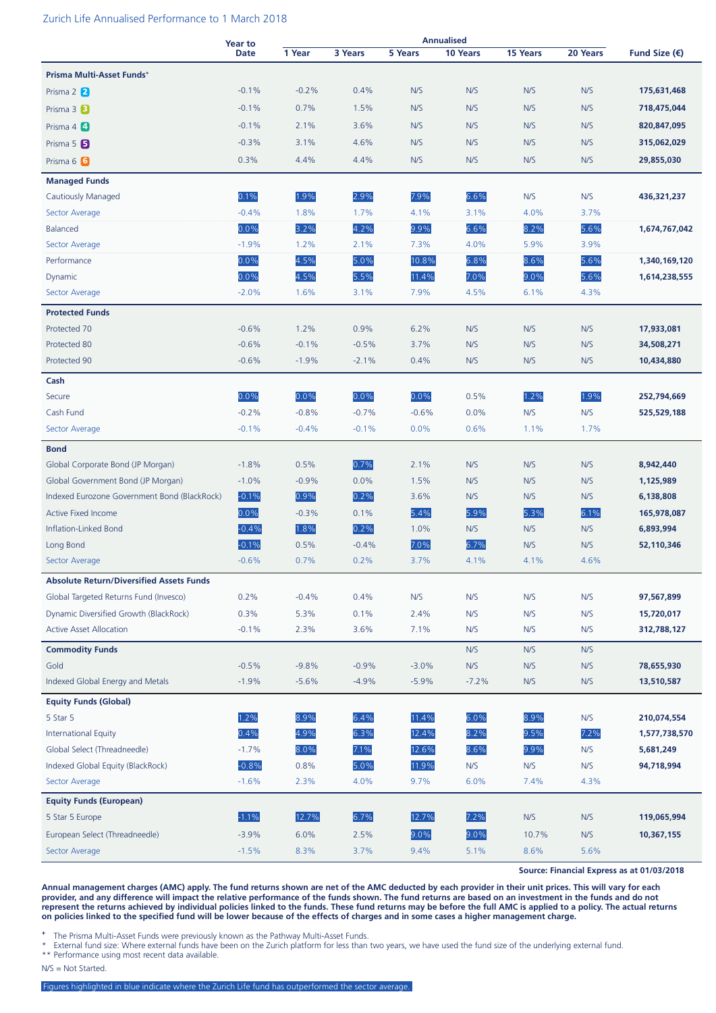#### Zurich Life Annualised Performance to 1 March 2018

|                                                 | <b>Year to</b> | <b>Annualised</b> |         |         |          |                 |          |                          |
|-------------------------------------------------|----------------|-------------------|---------|---------|----------|-----------------|----------|--------------------------|
|                                                 | <b>Date</b>    | 1 Year            | 3 Years | 5 Years | 10 Years | <b>15 Years</b> | 20 Years | Fund Size $(\epsilon)$   |
| Prisma Multi-Asset Funds+                       |                |                   |         |         |          |                 |          |                          |
| Prisma 2 2                                      | $-0.1%$        | $-0.2%$           | 0.4%    | N/S     | N/S      | N/S             | N/S      | 175,631,468              |
| Prisma 3 B                                      | $-0.1%$        | 0.7%              | 1.5%    | N/S     | N/S      | N/S             | N/S      | 718,475,044              |
| Prisma 4 4                                      | $-0.1%$        | 2.1%              | 3.6%    | N/S     | N/S      | N/S             | N/S      | 820,847,095              |
| Prisma 5 5                                      | $-0.3%$        | 3.1%              | 4.6%    | N/S     | N/S      | N/S             | N/S      | 315,062,029              |
| Prisma 6 6                                      | 0.3%           | 4.4%              | 4.4%    | N/S     | N/S      | N/S             | N/S      | 29,855,030               |
| <b>Managed Funds</b>                            |                |                   |         |         |          |                 |          |                          |
| <b>Cautiously Managed</b>                       | 0.1%           | 1.9%              | 2.9%    | 7.9%    | 6.6%     | N/S             | N/S      | 436,321,237              |
| Sector Average                                  | $-0.4%$        | 1.8%              | 1.7%    | 4.1%    | 3.1%     | 4.0%            | 3.7%     |                          |
| <b>Balanced</b>                                 | 0.0%           | 3.2%              | 4.2%    | 9.9%    | 6.6%     | 8.2%            | 5.6%     | 1,674,767,042            |
| Sector Average                                  | $-1.9%$        | 1.2%              | 2.1%    | 7.3%    | 4.0%     | 5.9%            | 3.9%     |                          |
| Performance                                     | 0.0%           | 4.5%              | 5.0%    | 10.8%   | 6.8%     | 8.6%            | 5.6%     | 1,340,169,120            |
| Dynamic                                         | 0.0%           | 4.5%              | 5.5%    | 11.4%   | 7.0%     | 9.0%            | 5.6%     | 1,614,238,555            |
| Sector Average                                  | $-2.0%$        | 1.6%              | 3.1%    | 7.9%    | 4.5%     | 6.1%            | 4.3%     |                          |
|                                                 |                |                   |         |         |          |                 |          |                          |
| <b>Protected Funds</b>                          |                |                   |         |         |          |                 |          |                          |
| Protected 70                                    | $-0.6%$        | 1.2%              | 0.9%    | 6.2%    | N/S      | N/S             | N/S      | 17,933,081               |
| Protected 80<br>Protected 90                    | $-0.6%$        | $-0.1%$           | $-0.5%$ | 3.7%    | N/S      | N/S             | N/S      | 34,508,271<br>10,434,880 |
|                                                 | $-0.6%$        | $-1.9%$           | $-2.1%$ | 0.4%    | N/S      | N/S             | N/S      |                          |
| Cash                                            |                |                   |         |         |          |                 |          |                          |
| Secure                                          | 0.0%           | 0.0%              | 0.0%    | 0.0%    | 0.5%     | 1.2%            | 1.9%     | 252,794,669              |
| Cash Fund                                       | $-0.2%$        | $-0.8%$           | $-0.7%$ | $-0.6%$ | 0.0%     | N/S             | N/S      | 525,529,188              |
| Sector Average                                  | $-0.1%$        | $-0.4%$           | $-0.1%$ | 0.0%    | 0.6%     | 1.1%            | 1.7%     |                          |
| <b>Bond</b>                                     |                |                   |         |         |          |                 |          |                          |
| Global Corporate Bond (JP Morgan)               | $-1.8%$        | 0.5%              | 0.7%    | 2.1%    | N/S      | N/S             | N/S      | 8,942,440                |
| Global Government Bond (JP Morgan)              | $-1.0%$        | $-0.9%$           | 0.0%    | 1.5%    | N/S      | N/S             | N/S      | 1,125,989                |
| Indexed Eurozone Government Bond (BlackRock)    | $-0.1%$        | 0.9%              | 0.2%    | 3.6%    | N/S      | N/S             | N/S      | 6,138,808                |
| <b>Active Fixed Income</b>                      | 0.0%           | $-0.3%$           | 0.1%    | 5.4%    | 5.9%     | 5.3%            | 6.1%     | 165,978,087              |
| Inflation-Linked Bond                           | $-0.4%$        | 1.8%              | 0.2%    | 1.0%    | N/S      | N/S             | N/S      | 6,893,994                |
| Long Bond                                       | $-0.1%$        | 0.5%              | $-0.4%$ | 7.0%    | 6.7%     | N/S             | N/S      | 52,110,346               |
| Sector Average                                  | $-0.6%$        | 0.7%              | 0.2%    | 3.7%    | 4.1%     | 4.1%            | 4.6%     |                          |
| <b>Absolute Return/Diversified Assets Funds</b> |                |                   |         |         |          |                 |          |                          |
| Global Targeted Returns Fund (Invesco)          | 0.2%           | $-0.4%$           | 0.4%    | N/S     | N/S      | N/S             | N/S      | 97,567,899               |
| Dynamic Diversified Growth (BlackRock)          | 0.3%           | 5.3%              | 0.1%    | 2.4%    | N/S      | N/S             | N/S      | 15,720,017               |
| <b>Active Asset Allocation</b>                  | $-0.1%$        | 2.3%              | 3.6%    | 7.1%    | N/S      | N/S             | N/S      | 312,788,127              |
| <b>Commodity Funds</b>                          |                |                   |         |         | N/S      | N/S             | N/S      |                          |
| Gold                                            | $-0.5%$        | $-9.8%$           | $-0.9%$ | $-3.0%$ | N/S      | N/S             | N/S      | 78,655,930               |
| Indexed Global Energy and Metals                | $-1.9%$        | $-5.6%$           | $-4.9%$ | $-5.9%$ | $-7.2%$  | N/S             | N/S      | 13,510,587               |
| <b>Equity Funds (Global)</b>                    |                |                   |         |         |          |                 |          |                          |
| 5 Star 5                                        | 1.2%           | 8.9%              | 6.4%    | 11.4%   | 6.0%     | 8.9%            | N/S      | 210,074,554              |
| <b>International Equity</b>                     | 0.4%           | 4.9%              | 6.3%    | 12.4%   | 8.2%     | 9.5%            | 7.2%     | 1,577,738,570            |
| Global Select (Threadneedle)                    | $-1.7%$        | 8.0%              | 7.1%    | 12.6%   | 8.6%     | 9.9%            | N/S      | 5,681,249                |
| Indexed Global Equity (BlackRock)               | $-0.8%$        | 0.8%              | 5.0%    | 11.9%   | N/S      | N/S             | N/S      | 94,718,994               |
| Sector Average                                  | $-1.6%$        | 2.3%              | 4.0%    | 9.7%    | 6.0%     | 7.4%            | 4.3%     |                          |
|                                                 |                |                   |         |         |          |                 |          |                          |
| <b>Equity Funds (European)</b>                  |                |                   |         |         |          |                 |          |                          |
| 5 Star 5 Europe                                 | $-1.1%$        | 12.7%             | 6.7%    | 12.7%   | 7.2%     | N/S             | N/S      | 119,065,994              |
| European Select (Threadneedle)                  | $-3.9%$        | 6.0%              | 2.5%    | 9.0%    | 9.0%     | 10.7%           | N/S      | 10,367,155               |
| Sector Average                                  | $-1.5%$        | 8.3%              | 3.7%    | 9.4%    | 5.1%     | 8.6%            | 5.6%     |                          |

**Source: Financial Express as at 01/03/2018**

**Annual management charges (AMC) apply. The fund returns shown are net of the AMC deducted by each provider in their unit prices. This will vary for each provider, and any difference will impact the relative performance of the funds shown. The fund returns are based on an investment in the funds and do not represent the returns achieved by individual policies linked to the funds. These fund returns may be before the full AMC is applied to a policy. The actual returns on policies linked to the specified fund will be lower because of the effects of charges and in some cases a higher management charge.**

**<sup>+</sup>** The Prisma Multi-Asset Funds were previously known as the Pathway Multi-Asset Funds.

\* External fund size: Where external funds have been on the Zurich platform for less than two years, we have used the fund size of the underlying external fund. \*\* Performance using most recent data available.

N/S = Not Started.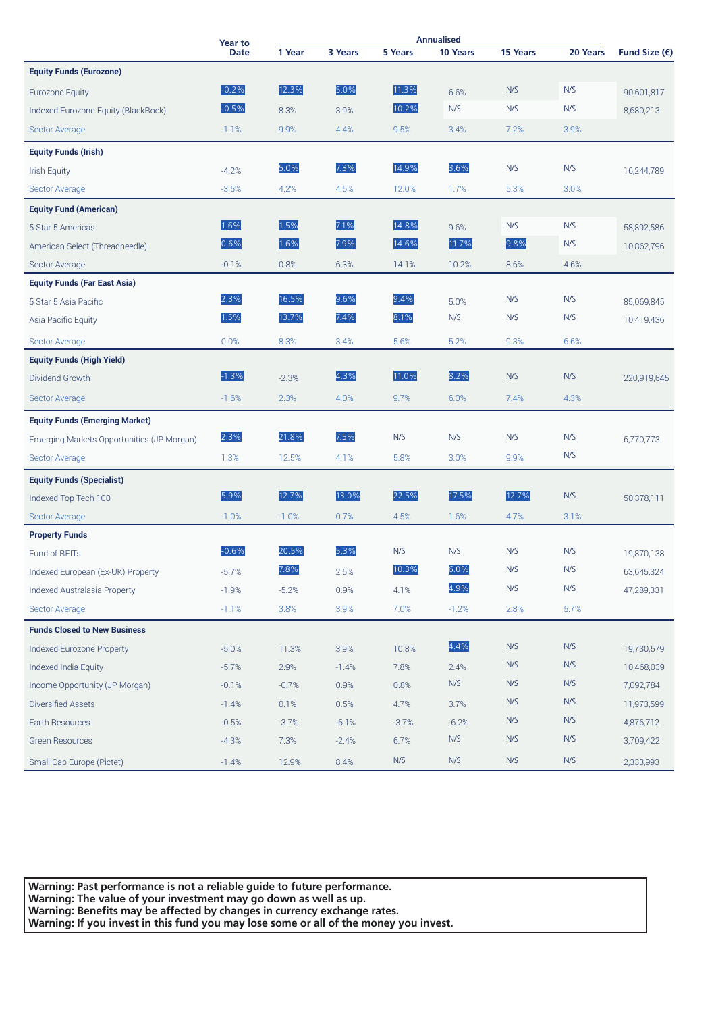|                                            | Year to     | <b>Annualised</b> |         |         |          |          |          |                        |
|--------------------------------------------|-------------|-------------------|---------|---------|----------|----------|----------|------------------------|
|                                            | <b>Date</b> | 1 Year            | 3 Years | 5 Years | 10 Years | 15 Years | 20 Years | Fund Size $(\epsilon)$ |
| <b>Equity Funds (Eurozone)</b>             |             |                   |         |         |          |          |          |                        |
| Eurozone Equity                            | $-0.2%$     | 12.3%             | 5.0%    | 11.3%   | 6.6%     | N/S      | N/S      | 90,601,817             |
| Indexed Eurozone Equity (BlackRock)        | $-0.5%$     | 8.3%              | 3.9%    | 10.2%   | N/S      | N/S      | N/S      | 8,680,213              |
| Sector Average                             | $-1.1%$     | 9.9%              | 4.4%    | 9.5%    | 3.4%     | 7.2%     | 3.9%     |                        |
| <b>Equity Funds (Irish)</b>                |             |                   |         |         |          |          |          |                        |
| <b>Irish Equity</b>                        | $-4.2%$     | 5.0%              | 7.3%    | 14.9%   | 3.6%     | N/S      | N/S      | 16,244,789             |
| Sector Average                             | $-3.5%$     | 4.2%              | 4.5%    | 12.0%   | 1.7%     | 5.3%     | 3.0%     |                        |
| <b>Equity Fund (American)</b>              |             |                   |         |         |          |          |          |                        |
| 5 Star 5 Americas                          | 1.6%        | 1.5%              | 7.1%    | 14.8%   | 9.6%     | N/S      | N/S      | 58,892,586             |
| American Select (Threadneedle)             | 0.6%        | 1.6%              | 7.9%    | 14.6%   | 11.7%    | 9.8%     | N/S      | 10,862,796             |
| Sector Average                             | $-0.1%$     | 0.8%              | 6.3%    | 14.1%   | 10.2%    | 8.6%     | 4.6%     |                        |
| <b>Equity Funds (Far East Asia)</b>        |             |                   |         |         |          |          |          |                        |
| 5 Star 5 Asia Pacific                      | 2.3%        | 16.5%             | 9.6%    | 9.4%    | 5.0%     | N/S      | N/S      | 85,069,845             |
| Asia Pacific Equity                        | 1.5%        | 13.7%             | 7.4%    | 8.1%    | N/S      | N/S      | N/S      | 10,419,436             |
| Sector Average                             | 0.0%        | 8.3%              | 3.4%    | 5.6%    | 5.2%     | 9.3%     | 6.6%     |                        |
| <b>Equity Funds (High Yield)</b>           |             |                   |         |         |          |          |          |                        |
| Dividend Growth                            | $-1.3%$     | $-2.3%$           | 4.3%    | 11.0%   | 8.2%     | N/S      | N/S      | 220,919,645            |
| Sector Average                             | $-1.6%$     | 2.3%              | 4.0%    | 9.7%    | 6.0%     | 7.4%     | 4.3%     |                        |
| <b>Equity Funds (Emerging Market)</b>      |             |                   |         |         |          |          |          |                        |
| Emerging Markets Opportunities (JP Morgan) | 2.3%        | 21.8%             | 7.5%    | N/S     | N/S      | N/S      | N/S      | 6,770,773              |
| Sector Average                             | 1.3%        | 12.5%             | 4.1%    | 5.8%    | 3.0%     | 9.9%     | N/S      |                        |
| <b>Equity Funds (Specialist)</b>           |             |                   |         |         |          |          |          |                        |
| Indexed Top Tech 100                       | 5.9%        | 12.7%             | 13.0%   | 22.5%   | 17.5%    | 12.7%    | N/S      | 50,378,111             |
| Sector Average                             | $-1.0%$     | $-1.0%$           | 0.7%    | 4.5%    | 1.6%     | 4.7%     | 3.1%     |                        |
| <b>Property Funds</b>                      |             |                   |         |         |          |          |          |                        |
| Fund of REITs                              | $-0.6%$     | 20.5%             | 5.3%    | N/S     | N/S      | N/S      | N/S      | 19.870.138             |
| Indexed European (Ex-UK) Property          | $-5.7%$     | 7.8%              | 2.5%    | 10.3%   | 6.0%     | N/S      | N/S      | 63.645.324             |
| <b>Indexed Australasia Property</b>        | $-1.9%$     | $-5.2%$           | 0.9%    | 4.1%    | 4.9%     | N/S      | N/S      | 47,289,331             |
| Sector Average                             | $-1.1%$     | 3.8%              | 3.9%    | 7.0%    | $-1.2%$  | 2.8%     | 5.7%     |                        |
| <b>Funds Closed to New Business</b>        |             |                   |         |         |          |          |          |                        |
| Indexed Eurozone Property                  | $-5.0%$     | 11.3%             | 3.9%    | 10.8%   | 4.4%     | N/S      | N/S      | 19,730,579             |
| Indexed India Equity                       | $-5.7%$     | 2.9%              | $-1.4%$ | 7.8%    | 2.4%     | N/S      | N/S      | 10,468,039             |
| Income Opportunity (JP Morgan)             | $-0.1%$     | $-0.7%$           | 0.9%    | 0.8%    | N/S      | N/S      | N/S      | 7,092,784              |
| Diversified Assets                         | $-1.4%$     | 0.1%              | 0.5%    | 4.7%    | 3.7%     | N/S      | N/S      | 11,973,599             |
| Earth Resources                            | $-0.5%$     | $-3.7%$           | $-6.1%$ | $-3.7%$ | $-6.2%$  | N/S      | N/S      | 4,876,712              |
| <b>Green Resources</b>                     | $-4.3%$     | 7.3%              | $-2.4%$ | 6.7%    | N/S      | N/S      | N/S      | 3,709,422              |
| Small Cap Europe (Pictet)                  | $-1.4%$     | 12.9%             | 8.4%    | N/S     | N/S      | N/S      | N/S      | 2,333,993              |

**Warning: Past performance is not a reliable guide to future performance. Warning: The value of your investment may go down as well as up. Warning: Benefits may be affected by changes in currency exchange rates. Warning: If you invest in this fund you may lose some or all of the money you invest.**